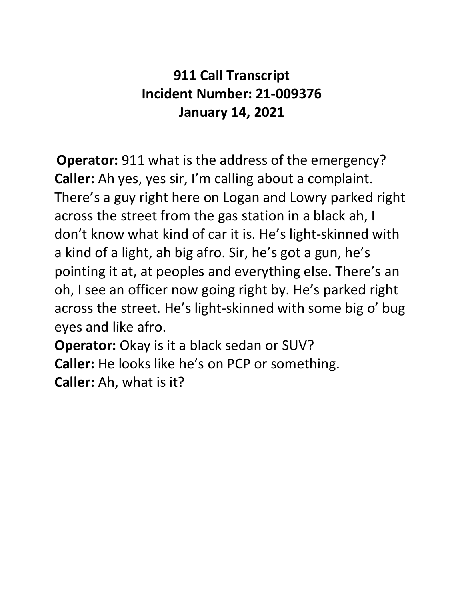## **911 Call Transcript Incident Number: 21-009376 January 14, 2021**

**Operator:** 911 what is the address of the emergency? **Caller:** Ah yes, yes sir, I'm calling about a complaint. There's a guy right here on Logan and Lowry parked right across the street from the gas station in a black ah, I don't know what kind of car it is. He's light-skinned with a kind of a light, ah big afro. Sir, he's got a gun, he's pointing it at, at peoples and everything else. There's an oh, I see an officer now going right by. He's parked right across the street. He's light-skinned with some big o' bug eyes and like afro.

**Operator:** Okay is it a black sedan or SUV? **Caller:** He looks like he's on PCP or something. **Caller:** Ah, what is it?